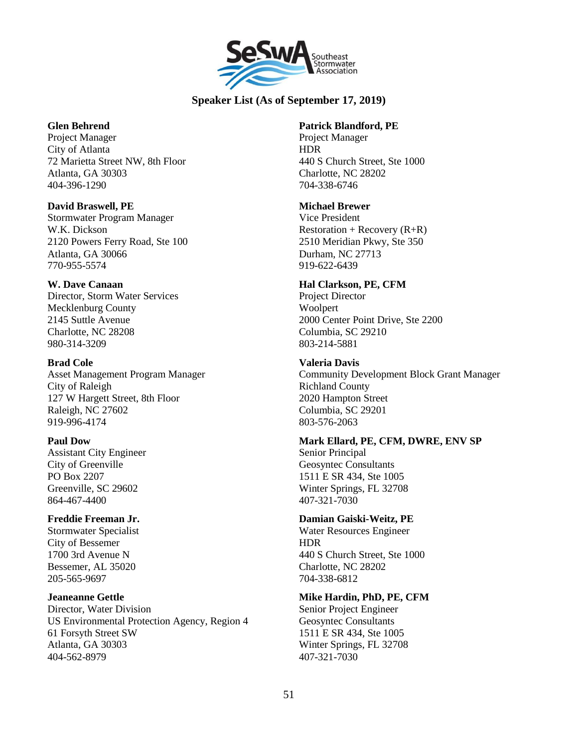

# **Speaker List (As of September 17, 2019)**

### **Glen Behrend**

Project Manager City of Atlanta 72 Marietta Street NW, 8th Floor Atlanta, GA 30303 404-396-1290

#### **David Braswell, PE**

Stormwater Program Manager W.K. Dickson 2120 Powers Ferry Road, Ste 100 Atlanta, GA 30066 770-955-5574

### **W. Dave Canaan**

Director, Storm Water Services Mecklenburg County 2145 Suttle Avenue Charlotte, NC 28208 980-314-3209

#### **Brad Cole**

Asset Management Program Manager City of Raleigh 127 W Hargett Street, 8th Floor Raleigh, NC 27602 919-996-4174

### **Paul Dow**

Assistant City Engineer City of Greenville PO Box 2207 Greenville, SC 29602 864-467-4400

### **Freddie Freeman Jr.**

Stormwater Specialist City of Bessemer 1700 3rd Avenue N Bessemer, AL 35020 205-565-9697

#### **Jeaneanne Gettle**

Director, Water Division US Environmental Protection Agency, Region 4 61 Forsyth Street SW Atlanta, GA 30303 404-562-8979

#### **Patrick Blandford, PE**

Project Manager HDR 440 S Church Street, Ste 1000 Charlotte, NC 28202 704-338-6746

#### **Michael Brewer**

Vice President Restoration + Recovery  $(R+R)$ 2510 Meridian Pkwy, Ste 350 Durham, NC 27713 919-622-6439

### **Hal Clarkson, PE, CFM**

Project Director Woolpert 2000 Center Point Drive, Ste 2200 Columbia, SC 29210 803-214-5881

#### **Valeria Davis**

Community Development Block Grant Manager Richland County 2020 Hampton Street Columbia, SC 29201 803-576-2063

### **Mark Ellard, PE, CFM, DWRE, ENV SP**

Senior Principal Geosyntec Consultants 1511 E SR 434, Ste 1005 Winter Springs, FL 32708 407-321-7030

### **Damian Gaiski-Weitz, PE**

Water Resources Engineer HDR 440 S Church Street, Ste 1000 Charlotte, NC 28202 704-338-6812

### **Mike Hardin, PhD, PE, CFM**

Senior Project Engineer Geosyntec Consultants 1511 E SR 434, Ste 1005 Winter Springs, FL 32708 407-321-7030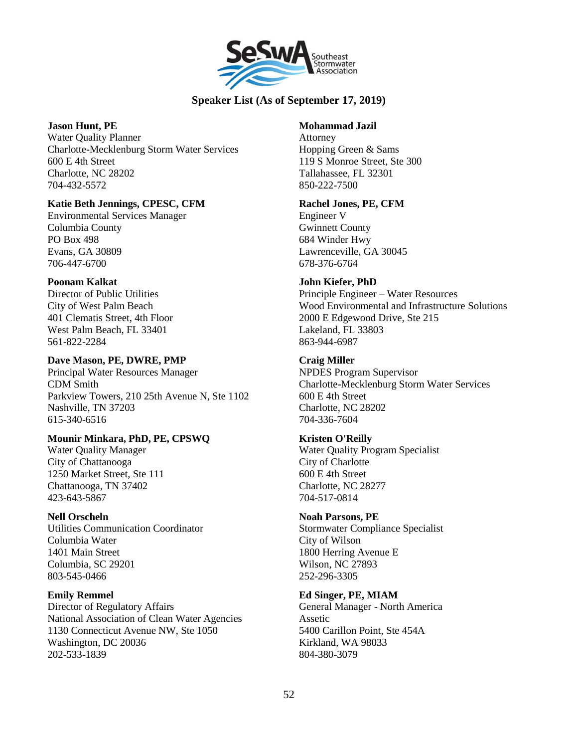

# **Speaker List (As of September 17, 2019)**

### **Jason Hunt, PE**

Water Quality Planner Charlotte-Mecklenburg Storm Water Services 600 E 4th Street Charlotte, NC 28202 704-432-5572

### **Katie Beth Jennings, CPESC, CFM**

Environmental Services Manager Columbia County PO Box 498 Evans, GA 30809 706-447-6700

### **Poonam Kalkat**

Director of Public Utilities City of West Palm Beach 401 Clematis Street, 4th Floor West Palm Beach, FL 33401 561-822-2284

# **Dave Mason, PE, DWRE, PMP**

Principal Water Resources Manager CDM Smith Parkview Towers, 210 25th Avenue N, Ste 1102 Nashville, TN 37203 615-340-6516

# **Mounir Minkara, PhD, PE, CPSWQ**

Water Quality Manager City of Chattanooga 1250 Market Street, Ste 111 Chattanooga, TN 37402 423-643-5867

# **Nell Orscheln**

Utilities Communication Coordinator Columbia Water 1401 Main Street Columbia, SC 29201 803-545-0466

# **Emily Remmel**

Director of Regulatory Affairs National Association of Clean Water Agencies 1130 Connecticut Avenue NW, Ste 1050 Washington, DC 20036 202-533-1839

# **Mohammad Jazil**

Attorney Hopping Green & Sams 119 S Monroe Street, Ste 300 Tallahassee, FL 32301 850-222-7500

# **Rachel Jones, PE, CFM**

Engineer V Gwinnett County 684 Winder Hwy Lawrenceville, GA 30045 678-376-6764

# **John Kiefer, PhD**

Principle Engineer – Water Resources Wood Environmental and Infrastructure Solutions 2000 E Edgewood Drive, Ste 215 Lakeland, FL 33803 863-944-6987

# **Craig Miller**

NPDES Program Supervisor Charlotte-Mecklenburg Storm Water Services 600 E 4th Street Charlotte, NC 28202 704-336-7604

# **Kristen O'Reilly**

Water Quality Program Specialist City of Charlotte 600 E 4th Street Charlotte, NC 28277 704-517-0814

# **Noah Parsons, PE**

Stormwater Compliance Specialist City of Wilson 1800 Herring Avenue E Wilson, NC 27893 252-296-3305

# **Ed Singer, PE, MIAM**

General Manager - North America Assetic 5400 Carillon Point, Ste 454A Kirkland, WA 98033 804-380-3079